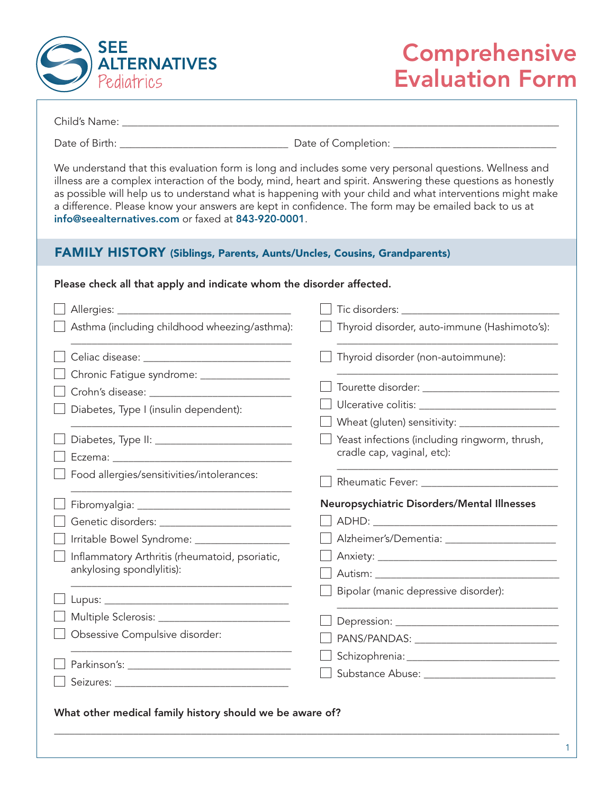

# **Comprehensive** Evaluation Form

Child's Name: **with the control of the control of the control of the control of the control of the control of the control of the control of the control of the control of the control of the control of the control of the con** 

Date of Birth: \_\_\_\_\_\_\_\_\_\_\_\_\_\_\_\_\_\_\_\_\_\_\_\_\_\_\_\_\_\_\_\_ Date of Completion: \_\_\_\_\_\_\_\_\_\_\_\_\_\_\_\_\_\_\_\_\_\_\_\_\_\_\_\_\_\_\_

We understand that this evaluation form is long and includes some very personal questions. Wellness and illness are a complex interaction of the body, mind, heart and spirit. Answering these questions as honestly as possible will help us to understand what is happening with your child and what interventions might make a difference. Please know your answers are kept in confidence. The form may be emailed back to us at info@seealternatives.com or faxed at 843-920-0001.

#### FAMILY HISTORY (Siblings, Parents, Aunts/Uncles, Cousins, Grandparents)

#### Please check all that apply and indicate whom the disorder affected.

| Tic disorders: _                              |
|-----------------------------------------------|
| Thyroid disorder, auto-immune (Hashimoto's):  |
| Thyroid disorder (non-autoimmune):            |
|                                               |
|                                               |
|                                               |
|                                               |
| Yeast infections (including ringworm, thrush, |
| cradle cap, vaginal, etc):                    |
|                                               |
| Neuropsychiatric Disorders/Mental Illnesses   |
|                                               |
|                                               |
|                                               |
|                                               |
| Bipolar (manic depressive disorder):          |
|                                               |
|                                               |
|                                               |
|                                               |
|                                               |
|                                               |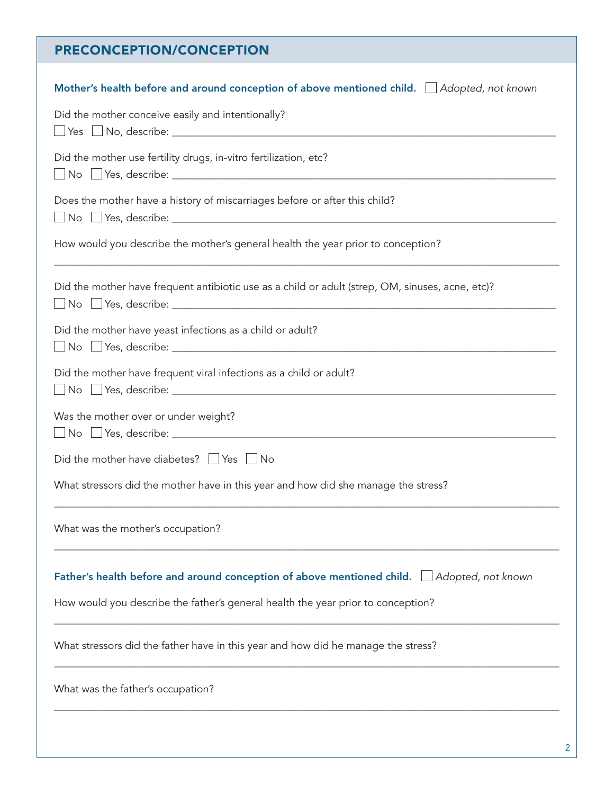## PRECONCEPTION/CONCEPTION

| Mother's health before and around conception of above mentioned child.   Adopted, not known      |
|--------------------------------------------------------------------------------------------------|
| Did the mother conceive easily and intentionally?                                                |
| Did the mother use fertility drugs, in-vitro fertilization, etc?                                 |
| Does the mother have a history of miscarriages before or after this child?                       |
| How would you describe the mother's general health the year prior to conception?                 |
| Did the mother have frequent antibiotic use as a child or adult (strep, OM, sinuses, acne, etc)? |
| Did the mother have yeast infections as a child or adult?                                        |
| Did the mother have frequent viral infections as a child or adult?                               |
| Was the mother over or under weight?                                                             |
| Did the mother have diabetes? $\Box$ Yes $\Box$ No                                               |
| What stressors did the mother have in this year and how did she manage the stress?               |
| What was the mother's occupation?                                                                |
| Father's health before and around conception of above mentioned child. $\Box$ Adopted, not known |
| How would you describe the father's general health the year prior to conception?                 |
| What stressors did the father have in this year and how did he manage the stress?                |
| What was the father's occupation?                                                                |
|                                                                                                  |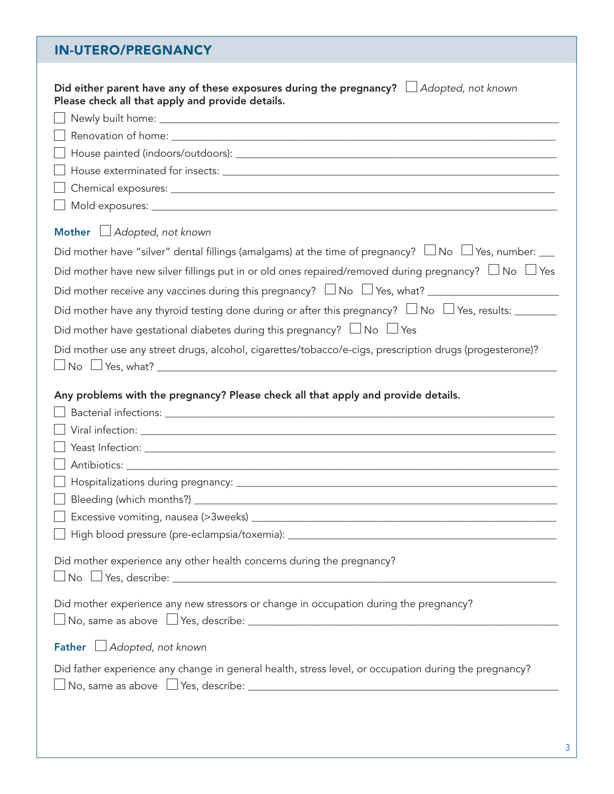### IN-UTERO/PREGNANCY

| Did either parent have any of these exposures during the pregnancy? $\Box$ Adopted, not known<br>Please check all that apply and provide details.                                                                                                                                                         |
|-----------------------------------------------------------------------------------------------------------------------------------------------------------------------------------------------------------------------------------------------------------------------------------------------------------|
|                                                                                                                                                                                                                                                                                                           |
|                                                                                                                                                                                                                                                                                                           |
|                                                                                                                                                                                                                                                                                                           |
|                                                                                                                                                                                                                                                                                                           |
|                                                                                                                                                                                                                                                                                                           |
|                                                                                                                                                                                                                                                                                                           |
| Mother LAdopted, not known                                                                                                                                                                                                                                                                                |
| Did mother have "silver" dental fillings (amalgams) at the time of pregnancy? $\Box$ No $\Box$ Yes, number: $\Box$                                                                                                                                                                                        |
| Did mother have new silver fillings put in or old ones repaired/removed during pregnancy? $\Box$ No $\Box$ Yes                                                                                                                                                                                            |
|                                                                                                                                                                                                                                                                                                           |
| Did mother have any thyroid testing done during or after this pregnancy? $\Box$ No $\Box$ Yes, results: ________                                                                                                                                                                                          |
| Did mother have gestational diabetes during this pregnancy? $\Box$ No $\Box$ Yes                                                                                                                                                                                                                          |
| Did mother use any street drugs, alcohol, cigarettes/tobacco/e-cigs, prescription drugs (progesterone)?                                                                                                                                                                                                   |
|                                                                                                                                                                                                                                                                                                           |
| Any problems with the pregnancy? Please check all that apply and provide details.<br>$\Box$ Excessive vomiting, nausea (>3weeks) $\_\_$<br>Did mother experience any other health concerns during the pregnancy?<br>Did mother experience any new stressors or change in occupation during the pregnancy? |
|                                                                                                                                                                                                                                                                                                           |
| Father Adopted, not known                                                                                                                                                                                                                                                                                 |
| Did father experience any change in general health, stress level, or occupation during the pregnancy?                                                                                                                                                                                                     |
|                                                                                                                                                                                                                                                                                                           |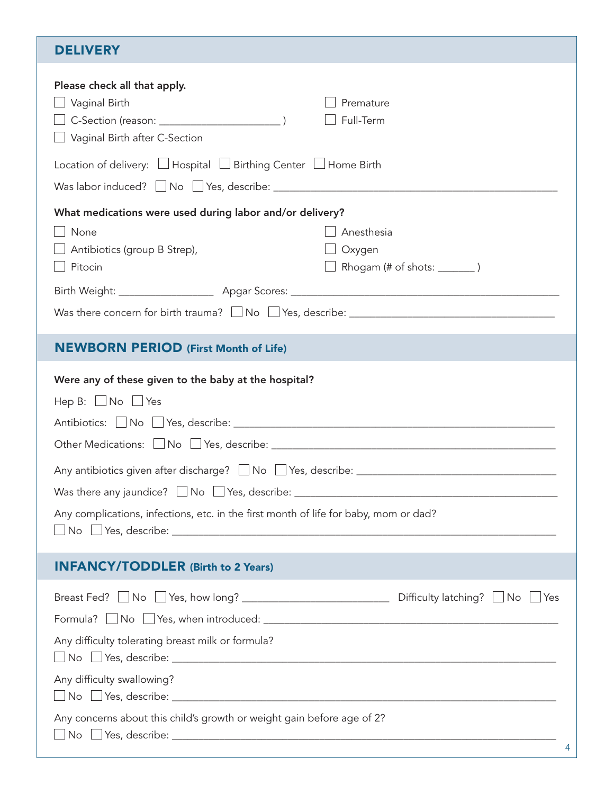| <b>DELIVERY</b>                                                                                                                                                                                                                                    |                                                        |
|----------------------------------------------------------------------------------------------------------------------------------------------------------------------------------------------------------------------------------------------------|--------------------------------------------------------|
| Please check all that apply.<br>$\Box$ Vaginal Birth<br>Vaginal Birth after C-Section                                                                                                                                                              | Premature<br>Full-Term                                 |
| Location of delivery: $\Box$ Hospital $\Box$ Birthing Center $\Box$ Home Birth<br>Was labor induced? $\Box$ No $\Box$ Yes, describe: _________________________________                                                                             |                                                        |
| What medications were used during labor and/or delivery?<br>None<br>$\Box$ Antibiotics (group B Strep),<br>Pitocin                                                                                                                                 | Anesthesia<br>Oxygen<br>Rhogam (# of shots: ________ ) |
| <b>NEWBORN PERIOD (First Month of Life)</b>                                                                                                                                                                                                        |                                                        |
| Were any of these given to the baby at the hospital?<br>Hep B: $\Box$ No $\Box$ Yes<br>Any complications, infections, etc. in the first month of life for baby, mom or dad?                                                                        |                                                        |
| <b>INFANCY/TODDLER (Birth to 2 Years)</b>                                                                                                                                                                                                          |                                                        |
| Breast Fed? ■ No ■ Yes, how long? <u>■ ■ No ■ Yes</u> Difficulty latching? ■ No ■ Yes<br>Any difficulty tolerating breast milk or formula?<br>Any difficulty swallowing?<br>Any concerns about this child's growth or weight gain before age of 2? |                                                        |
|                                                                                                                                                                                                                                                    | 4                                                      |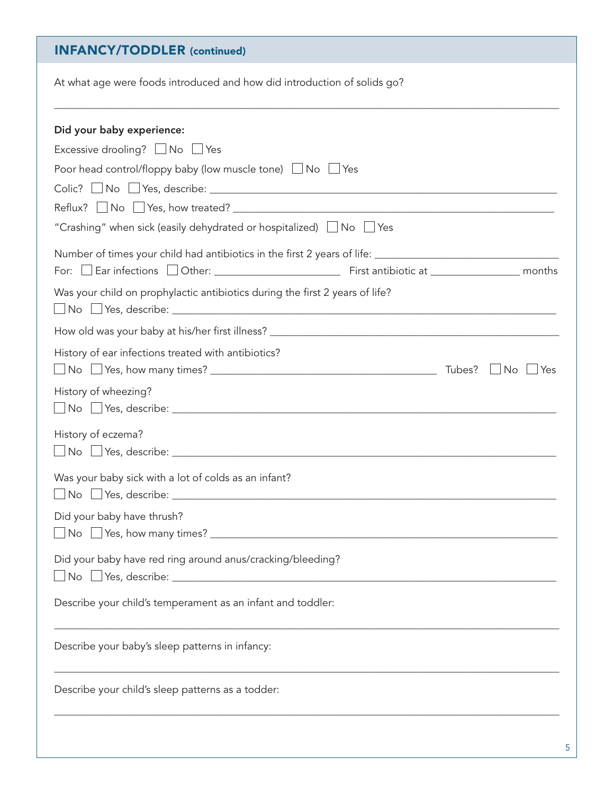### INFANCY/TODDLER (continued)

At what age were foods introduced and how did introduction of solids go?

| Did your baby experience:                                                     |           |         |
|-------------------------------------------------------------------------------|-----------|---------|
|                                                                               |           |         |
| Excessive drooling? No PYes                                                   |           |         |
| Poor head control/floppy baby (low muscle tone) $\Box$ No $\Box$ Yes          |           |         |
|                                                                               |           |         |
|                                                                               |           |         |
| "Crashing" when sick (easily dehydrated or hospitalized) $\Box$ No $\Box$ Yes |           |         |
|                                                                               |           |         |
|                                                                               |           |         |
| Was your child on prophylactic antibiotics during the first 2 years of life?  |           |         |
|                                                                               |           |         |
| History of ear infections treated with antibiotics?                           |           |         |
|                                                                               | $\Box$ No | $ $ Yes |
| History of wheezing?                                                          |           |         |
|                                                                               |           |         |
| History of eczema?                                                            |           |         |
|                                                                               |           |         |
| Was your baby sick with a lot of colds as an infant?                          |           |         |
|                                                                               |           |         |
| Did your baby have thrush?                                                    |           |         |
|                                                                               |           |         |
|                                                                               |           |         |
| Did your baby have red ring around anus/cracking/bleeding?                    |           |         |
|                                                                               |           |         |
| Describe your child's temperament as an infant and toddler:                   |           |         |
|                                                                               |           |         |
| Describe your baby's sleep patterns in infancy:                               |           |         |
|                                                                               |           |         |
| Describe your child's sleep patterns as a todder:                             |           |         |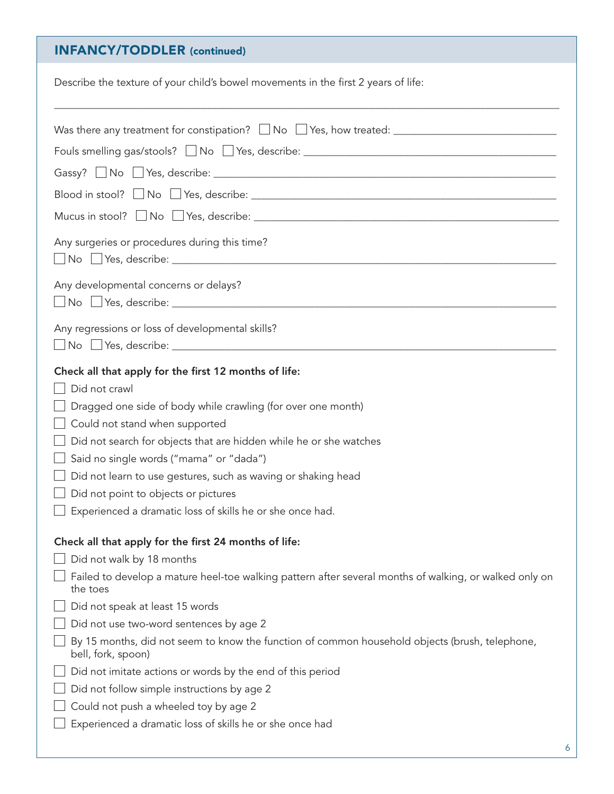## INFANCY/TODDLER (continued)

| Describe the texture of your child's bowel movements in the first 2 years of life:                                                                                                                                                                                                                                                                                                                                                                                            |
|-------------------------------------------------------------------------------------------------------------------------------------------------------------------------------------------------------------------------------------------------------------------------------------------------------------------------------------------------------------------------------------------------------------------------------------------------------------------------------|
| Fouls smelling gas/stools? Mo PYes, describe: Manual Communication of the Senate Area and Testa and Testa and<br>Mucus in stool? $\Box$ No $\Box$ Yes, describe: $\Box$ And $\Box$ And $\Box$ No $\Box$ Yes, describe: $\Box$<br>Any surgeries or procedures during this time?<br>Any developmental concerns or delays?                                                                                                                                                       |
| Any regressions or loss of developmental skills?                                                                                                                                                                                                                                                                                                                                                                                                                              |
| Check all that apply for the first 12 months of life:<br>Did not crawl<br>Dragged one side of body while crawling (for over one month)<br>Could not stand when supported<br>Did not search for objects that are hidden while he or she watches<br>Said no single words ("mama" or "dada")<br>Did not learn to use gestures, such as waving or shaking head<br>$\Box$ Did not point to objects or pictures<br>$\Box$ Experienced a dramatic loss of skills he or she once had. |
| Check all that apply for the first 24 months of life:<br>Did not walk by 18 months<br>Failed to develop a mature heel-toe walking pattern after several months of walking, or walked only on<br>the toes<br>Did not speak at least 15 words<br>Did not use two-word sentences by age 2                                                                                                                                                                                        |
| By 15 months, did not seem to know the function of common household objects (brush, telephone,<br>bell, fork, spoon)<br>Did not imitate actions or words by the end of this period<br>Did not follow simple instructions by age 2<br>Could not push a wheeled toy by age 2<br>Experienced a dramatic loss of skills he or she once had                                                                                                                                        |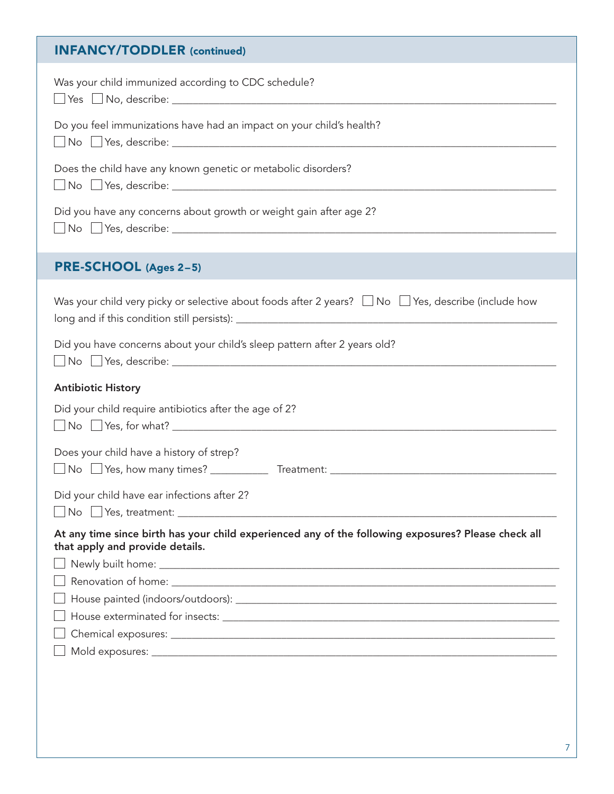| <b>INFANCY/TODDLER (continued)</b>                                                                                                     |
|----------------------------------------------------------------------------------------------------------------------------------------|
| Was your child immunized according to CDC schedule?                                                                                    |
| Do you feel immunizations have had an impact on your child's health?                                                                   |
| Does the child have any known genetic or metabolic disorders?                                                                          |
| Did you have any concerns about growth or weight gain after age 2?                                                                     |
| PRE-SCHOOL (Ages 2-5)                                                                                                                  |
| Was your child very picky or selective about foods after 2 years? $\Box$ No $\Box$ Yes, describe (include how                          |
| Did you have concerns about your child's sleep pattern after 2 years old?                                                              |
| <b>Antibiotic History</b>                                                                                                              |
| Did your child require antibiotics after the age of 2?                                                                                 |
| Does your child have a history of strep?<br>No $\Box$ Yes, how many times?<br>Treatment:                                               |
| Did your child have ear infections after 2?<br>$\Box$ No $\Box$ Yes, treatment: $\Box$                                                 |
| At any time since birth has your child experienced any of the following exposures? Please check all<br>that apply and provide details. |
|                                                                                                                                        |
|                                                                                                                                        |
|                                                                                                                                        |
|                                                                                                                                        |
|                                                                                                                                        |
|                                                                                                                                        |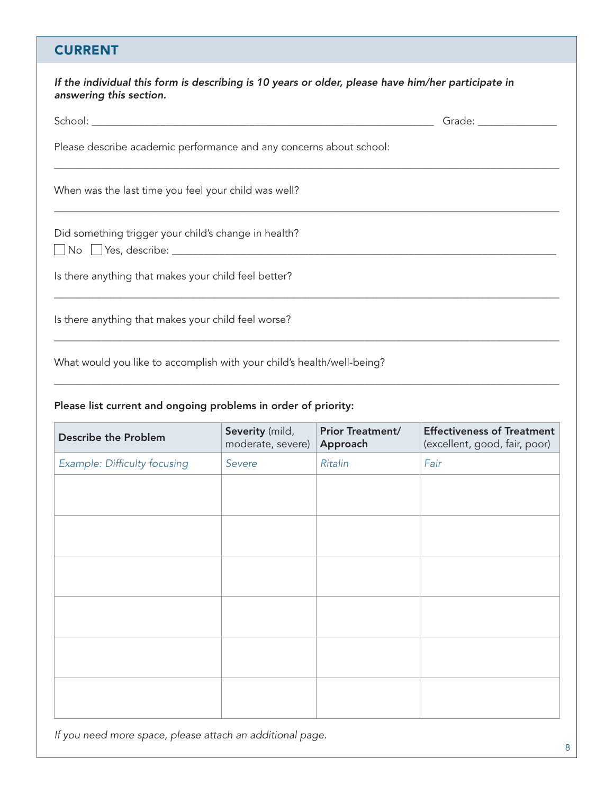#### **CURRENT**

| If the individual this form is describing is 10 years or older, please have him/her participate in<br>answering this section. |                         |
|-------------------------------------------------------------------------------------------------------------------------------|-------------------------|
|                                                                                                                               | Grade: ________________ |
| Please describe academic performance and any concerns about school:                                                           |                         |
| When was the last time you feel your child was well?                                                                          |                         |
| Did something trigger your child's change in health?                                                                          |                         |
| Is there anything that makes your child feel better?                                                                          |                         |
| Is there anything that makes your child feel worse?                                                                           |                         |
|                                                                                                                               |                         |

What would you like to accomplish with your child's health/well-being? \_\_\_\_\_\_\_\_\_\_\_\_\_\_\_\_\_\_\_\_\_\_\_\_\_\_\_\_\_\_\_\_\_\_\_\_\_\_\_\_\_\_\_\_\_\_\_\_\_\_\_\_\_\_\_\_\_\_\_\_\_\_\_\_\_\_\_\_\_\_\_\_\_\_\_\_\_\_\_\_\_\_\_\_\_\_\_\_\_\_\_\_\_\_\_\_

#### Please list current and ongoing problems in order of priority:

| <b>Describe the Problem</b>  | Severity (mild,<br>moderate, severe) | <b>Prior Treatment/</b><br>Approach | <b>Effectiveness of Treatment</b><br>(excellent, good, fair, poor) |
|------------------------------|--------------------------------------|-------------------------------------|--------------------------------------------------------------------|
| Example: Difficulty focusing | Severe                               | <b>Ritalin</b>                      | Fair                                                               |
|                              |                                      |                                     |                                                                    |
|                              |                                      |                                     |                                                                    |
|                              |                                      |                                     |                                                                    |
|                              |                                      |                                     |                                                                    |
|                              |                                      |                                     |                                                                    |
|                              |                                      |                                     |                                                                    |
|                              |                                      |                                     |                                                                    |
|                              |                                      |                                     |                                                                    |
|                              |                                      |                                     |                                                                    |
|                              |                                      |                                     |                                                                    |
|                              |                                      |                                     |                                                                    |
|                              |                                      |                                     |                                                                    |

*If you need more space, please attach an additional page.*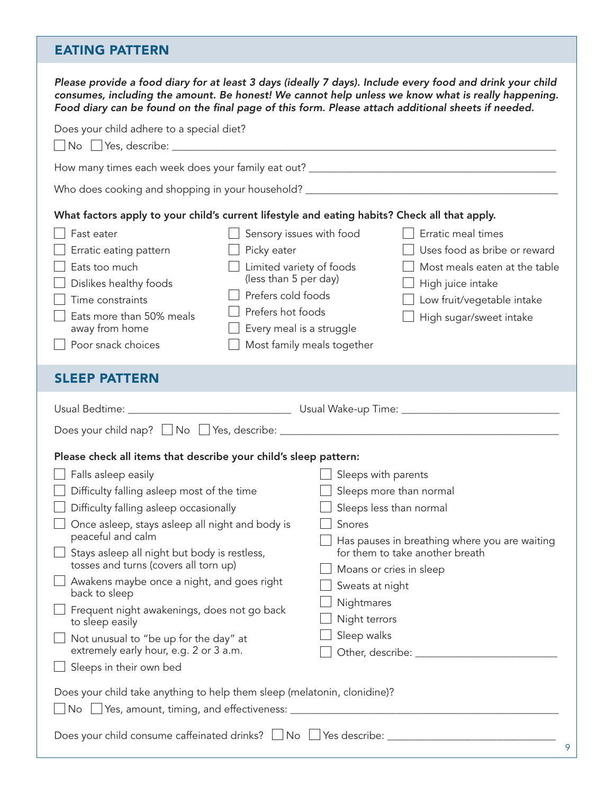#### EATING PATTERN

| Please provide a food diary for at least 3 days (ideally 7 days). Include every food and drink your child<br>Food diary can be found on the final page of this form. Please attach additional sheets if needed.                                                                                                                                                                                                                                                                                                        |                                                                                                                                                                                                                        |                                                                                                                                                               | consumes, including the amount. Be honest! We cannot help unless we know what is really happening.                                                                |
|------------------------------------------------------------------------------------------------------------------------------------------------------------------------------------------------------------------------------------------------------------------------------------------------------------------------------------------------------------------------------------------------------------------------------------------------------------------------------------------------------------------------|------------------------------------------------------------------------------------------------------------------------------------------------------------------------------------------------------------------------|---------------------------------------------------------------------------------------------------------------------------------------------------------------|-------------------------------------------------------------------------------------------------------------------------------------------------------------------|
| Does your child adhere to a special diet?                                                                                                                                                                                                                                                                                                                                                                                                                                                                              |                                                                                                                                                                                                                        |                                                                                                                                                               |                                                                                                                                                                   |
|                                                                                                                                                                                                                                                                                                                                                                                                                                                                                                                        |                                                                                                                                                                                                                        |                                                                                                                                                               |                                                                                                                                                                   |
|                                                                                                                                                                                                                                                                                                                                                                                                                                                                                                                        |                                                                                                                                                                                                                        |                                                                                                                                                               |                                                                                                                                                                   |
| What factors apply to your child's current lifestyle and eating habits? Check all that apply.<br>Fast eater<br>Erratic eating pattern<br>Eats too much<br>Dislikes healthy foods<br>Time constraints<br>Eats more than 50% meals<br>away from home<br>$\Box$ Poor snack choices                                                                                                                                                                                                                                        | $\Box$ Sensory issues with food<br>$\Box$ Picky eater<br>Limited variety of foods<br>(less than 5 per day)<br>Prefers cold foods<br>Prefers hot foods<br>$\Box$ Every meal is a struggle<br>Most family meals together |                                                                                                                                                               | Erratic meal times<br>Uses food as bribe or reward<br>Most meals eaten at the table<br>High juice intake<br>Low fruit/vegetable intake<br>High sugar/sweet intake |
| <b>SLEEP PATTERN</b>                                                                                                                                                                                                                                                                                                                                                                                                                                                                                                   |                                                                                                                                                                                                                        |                                                                                                                                                               |                                                                                                                                                                   |
| Does your child nap? Mo PYes, describe: Manual Manual Museum Museum Museum Museum Museum Museum Museum Museum<br>Please check all items that describe your child's sleep pattern:<br>Falls asleep easily<br>Difficulty falling asleep most of the time<br>Difficulty falling asleep occasionally<br>$\Box$ Once asleep, stays asleep all night and body is<br>peaceful and calm<br>Stays asleep all night but body is restless,<br>tosses and turns (covers all torn up)<br>Awakens maybe once a night, and goes right |                                                                                                                                                                                                                        | $\Box$ Sleeps with parents<br>$\Box$ Sleeps more than normal<br>$\Box$ Sleeps less than normal<br>$\Box$ Snores<br>Moans or cries in sleep<br>Sweats at night | Has pauses in breathing where you are waiting<br>for them to take another breath                                                                                  |
| back to sleep<br>Frequent night awakenings, does not go back<br>to sleep easily<br>Not unusual to "be up for the day" at<br>extremely early hour, e.g. 2 or 3 a.m.<br>Sleeps in their own bed<br>Does your child take anything to help them sleep (melatonin, clonidine)?<br>No                                                                                                                                                                                                                                        |                                                                                                                                                                                                                        | Nightmares<br>Night terrors<br>Sleep walks                                                                                                                    |                                                                                                                                                                   |
|                                                                                                                                                                                                                                                                                                                                                                                                                                                                                                                        |                                                                                                                                                                                                                        |                                                                                                                                                               | 9                                                                                                                                                                 |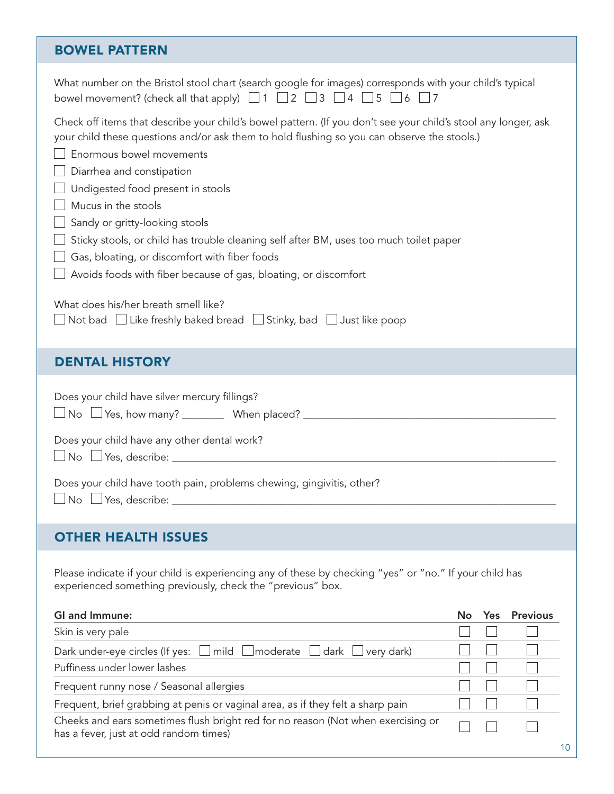#### BOWEL PATTERN

| What number on the Bristol stool chart (search google for images) corresponds with your child's typical<br>bowel movement? (check all that apply) $\Box$ 1 $\Box$ 2 $\Box$ 3 $\Box$ 4 $\Box$ 5 $\Box$ 6 $\Box$ 7                                                                                                                                                                                                                                                                                                                                                                                                                                                                                                            |           |              |
|-----------------------------------------------------------------------------------------------------------------------------------------------------------------------------------------------------------------------------------------------------------------------------------------------------------------------------------------------------------------------------------------------------------------------------------------------------------------------------------------------------------------------------------------------------------------------------------------------------------------------------------------------------------------------------------------------------------------------------|-----------|--------------|
| Check off items that describe your child's bowel pattern. (If you don't see your child's stool any longer, ask<br>your child these questions and/or ask them to hold flushing so you can observe the stools.)<br>Enormous bowel movements<br>Diarrhea and constipation<br>Undigested food present in stools<br>Mucus in the stools<br>Sandy or gritty-looking stools<br>Sticky stools, or child has trouble cleaning self after BM, uses too much toilet paper<br>Gas, bloating, or discomfort with fiber foods<br>Avoids foods with fiber because of gas, bloating, or discomfort<br>What does his/her breath smell like?<br>$\Box$ Not bad $\;\Box$ Like freshly baked bread $\;\Box$ Stinky, bad $\;\Box$ Just like poop |           |              |
| <b>DENTAL HISTORY</b>                                                                                                                                                                                                                                                                                                                                                                                                                                                                                                                                                                                                                                                                                                       |           |              |
| Does your child have silver mercury fillings?<br>Does your child have any other dental work?<br>Does your child have tooth pain, problems chewing, gingivitis, other?                                                                                                                                                                                                                                                                                                                                                                                                                                                                                                                                                       |           |              |
| <b>OTHER HEALTH ISSUES</b>                                                                                                                                                                                                                                                                                                                                                                                                                                                                                                                                                                                                                                                                                                  |           |              |
| Please indicate if your child is experiencing any of these by checking "yes" or "no." If your child has<br>experienced something previously, check the "previous" box.                                                                                                                                                                                                                                                                                                                                                                                                                                                                                                                                                      |           |              |
| <b>GI and Immune:</b>                                                                                                                                                                                                                                                                                                                                                                                                                                                                                                                                                                                                                                                                                                       | <b>No</b> | Yes Previous |
| Skin is very pale                                                                                                                                                                                                                                                                                                                                                                                                                                                                                                                                                                                                                                                                                                           |           |              |
| Dark under-eye circles (If yes:<br>mild<br>moderate<br>very dark)<br>dark<br>Puffiness under lower lashes                                                                                                                                                                                                                                                                                                                                                                                                                                                                                                                                                                                                                   |           |              |
| Frequent runny nose / Seasonal allergies                                                                                                                                                                                                                                                                                                                                                                                                                                                                                                                                                                                                                                                                                    |           |              |
| Frequent, brief grabbing at penis or vaginal area, as if they felt a sharp pain                                                                                                                                                                                                                                                                                                                                                                                                                                                                                                                                                                                                                                             |           |              |
| Cheeks and ears sometimes flush bright red for no reason (Not when exercising or<br>has a fever, just at odd random times)                                                                                                                                                                                                                                                                                                                                                                                                                                                                                                                                                                                                  |           | 10           |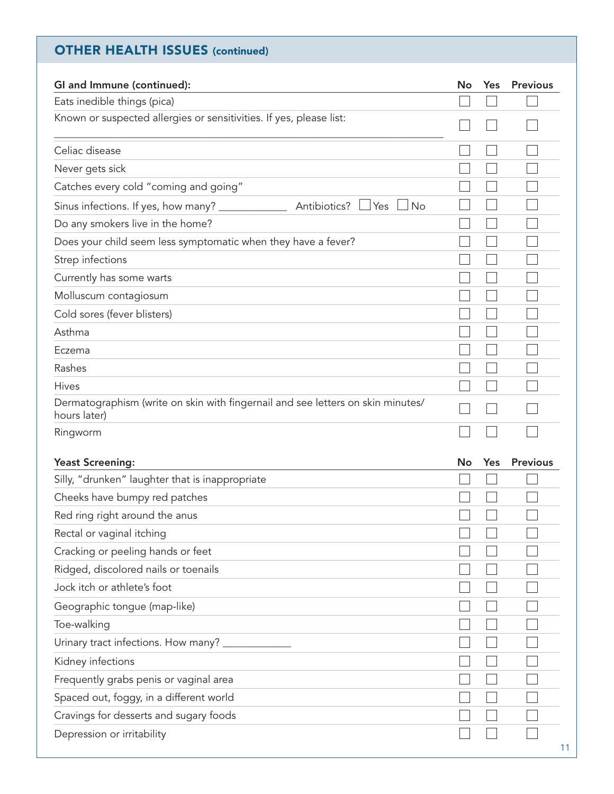## OTHER HEALTH ISSUES (continued)

| GI and Immune (continued):                                                                      | No | Yes | <b>Previous</b> |
|-------------------------------------------------------------------------------------------------|----|-----|-----------------|
| Eats inedible things (pica)                                                                     |    |     |                 |
| Known or suspected allergies or sensitivities. If yes, please list:                             |    |     |                 |
| Celiac disease                                                                                  |    |     |                 |
| Never gets sick                                                                                 |    |     |                 |
| Catches every cold "coming and going"                                                           |    |     |                 |
| Antibiotics?<br><b>No</b><br>Sinus infections. If yes, how many? ______________<br>Yes          |    |     |                 |
| Do any smokers live in the home?                                                                |    |     |                 |
| Does your child seem less symptomatic when they have a fever?                                   |    |     |                 |
| Strep infections                                                                                |    |     |                 |
| Currently has some warts                                                                        |    |     |                 |
| Molluscum contagiosum                                                                           |    |     |                 |
| Cold sores (fever blisters)                                                                     |    |     |                 |
| Asthma                                                                                          |    |     |                 |
| Eczema                                                                                          |    |     |                 |
| Rashes                                                                                          |    |     |                 |
| <b>Hives</b>                                                                                    |    |     |                 |
| Dermatographism (write on skin with fingernail and see letters on skin minutes/<br>hours later) |    |     |                 |
| Ringworm                                                                                        |    |     |                 |
| <b>Yeast Screening:</b>                                                                         | No | Yes | <b>Previous</b> |
| Silly, "drunken" laughter that is inappropriate                                                 |    |     |                 |
| Cheeks have bumpy red patches                                                                   |    |     |                 |
| Red ring right around the anus                                                                  |    |     |                 |
| Rectal or vaginal itching                                                                       |    |     |                 |
| Cracking or peeling hands or feet                                                               |    |     |                 |
| Ridged, discolored nails or toenails                                                            |    |     |                 |
| Jock itch or athlete's foot                                                                     |    |     |                 |
| Geographic tongue (map-like)                                                                    |    |     |                 |
| Toe-walking                                                                                     |    |     |                 |
| Urinary tract infections. How many? ___                                                         |    |     |                 |
| Kidney infections                                                                               |    |     |                 |
| Frequently grabs penis or vaginal area                                                          |    |     |                 |
| Spaced out, foggy, in a different world                                                         |    |     |                 |
| Cravings for desserts and sugary foods                                                          |    |     |                 |
| Depression or irritability                                                                      |    |     | 11              |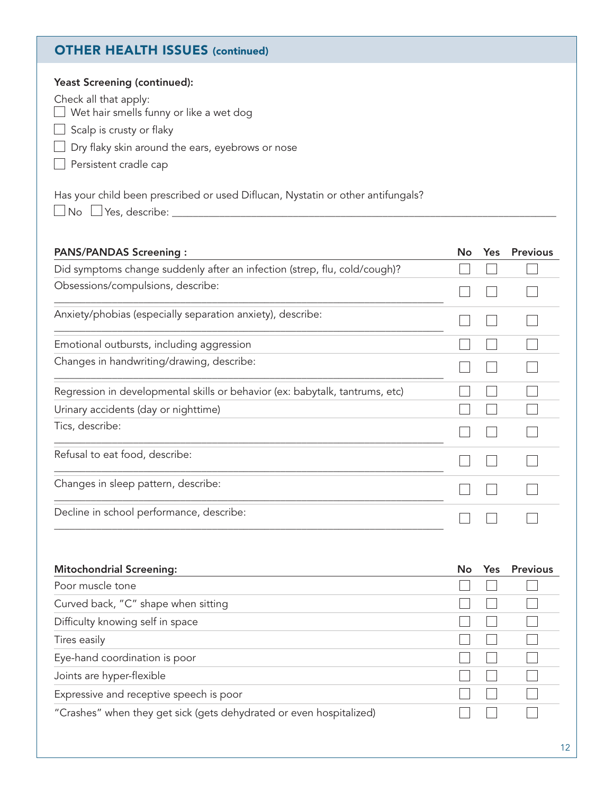#### OTHER HEALTH ISSUES (continued)

| <b>Yeast Screening (continued):</b><br>Check all that apply:<br>Wet hair smells funny or like a wet dog<br>Scalp is crusty or flaky<br>Dry flaky skin around the ears, eyebrows or nose<br>Persistent cradle cap<br>Has your child been prescribed or used Diflucan, Nystatin or other antifungals? |    |            |                 |
|-----------------------------------------------------------------------------------------------------------------------------------------------------------------------------------------------------------------------------------------------------------------------------------------------------|----|------------|-----------------|
| $\Box$ Yes, describe:<br>No                                                                                                                                                                                                                                                                         |    |            |                 |
|                                                                                                                                                                                                                                                                                                     |    |            |                 |
| <b>PANS/PANDAS Screening:</b>                                                                                                                                                                                                                                                                       | No | <b>Yes</b> | <b>Previous</b> |
| Did symptoms change suddenly after an infection (strep, flu, cold/cough)?                                                                                                                                                                                                                           |    |            |                 |
| Obsessions/compulsions, describe:                                                                                                                                                                                                                                                                   |    |            |                 |
| Anxiety/phobias (especially separation anxiety), describe:                                                                                                                                                                                                                                          |    |            |                 |
| Emotional outbursts, including aggression                                                                                                                                                                                                                                                           |    |            |                 |
| Changes in handwriting/drawing, describe:                                                                                                                                                                                                                                                           |    |            |                 |
| Regression in developmental skills or behavior (ex: babytalk, tantrums, etc)                                                                                                                                                                                                                        |    |            |                 |
| Urinary accidents (day or nighttime)                                                                                                                                                                                                                                                                |    |            |                 |
| Tics, describe:                                                                                                                                                                                                                                                                                     |    |            |                 |
| Refusal to eat food, describe:                                                                                                                                                                                                                                                                      |    |            |                 |
| Changes in sleep pattern, describe:                                                                                                                                                                                                                                                                 |    |            |                 |
| Decline in school performance, describe:                                                                                                                                                                                                                                                            |    |            |                 |
|                                                                                                                                                                                                                                                                                                     |    |            |                 |
| <b>Mitochondrial Screening:</b>                                                                                                                                                                                                                                                                     | No | <b>Yes</b> | <b>Previous</b> |
| Poor muscle tone                                                                                                                                                                                                                                                                                    |    |            |                 |
| Curved back, "C" shape when sitting                                                                                                                                                                                                                                                                 |    |            |                 |
| Difficulty knowing self in space                                                                                                                                                                                                                                                                    |    |            |                 |
| Tires easily                                                                                                                                                                                                                                                                                        |    |            |                 |
| Eye-hand coordination is poor                                                                                                                                                                                                                                                                       |    |            |                 |
| Joints are hyper-flexible                                                                                                                                                                                                                                                                           |    |            |                 |
| Expressive and receptive speech is poor                                                                                                                                                                                                                                                             |    |            |                 |
| "Crashes" when they get sick (gets dehydrated or even hospitalized)                                                                                                                                                                                                                                 |    |            |                 |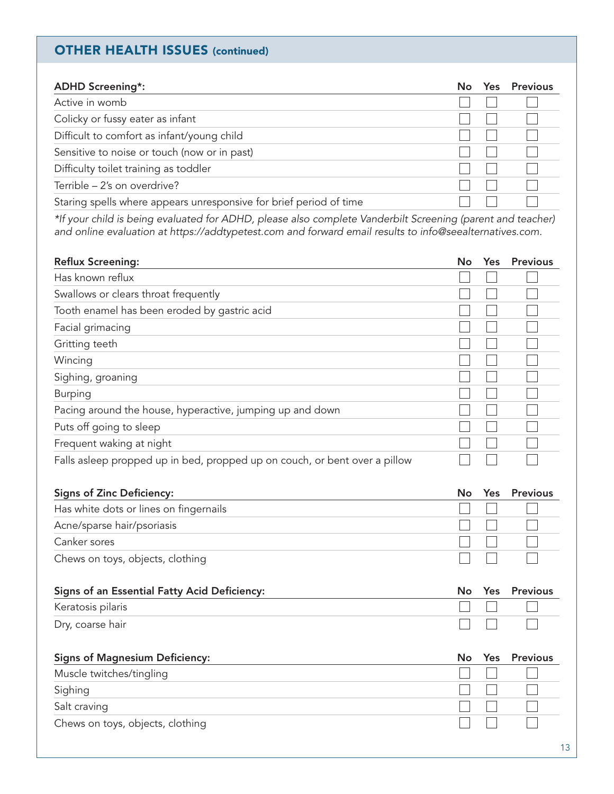#### OTHER HEALTH ISSUES (continued)

| <b>ADHD Screening*:</b>                                            | No. | Yes | Previous |
|--------------------------------------------------------------------|-----|-----|----------|
| Active in womb                                                     |     |     |          |
| Colicky or fussy eater as infant                                   |     |     |          |
| Difficult to comfort as infant/young child                         |     |     |          |
| Sensitive to noise or touch (now or in past)                       |     |     |          |
| Difficulty toilet training as toddler                              |     |     |          |
| Terrible - 2's on overdrive?                                       |     |     |          |
| Staring spells where appears unresponsive for brief period of time |     |     |          |

*\*If your child is being evaluated for ADHD, please also complete Vanderbilt Screening (parent and teacher) and online evaluation at https://addtypetest.com and forward email results to info@seealternatives.com.*

| <b>Reflux Screening:</b>                                                   | No | Yes. | <b>Previous</b> |
|----------------------------------------------------------------------------|----|------|-----------------|
| Has known reflux                                                           |    |      |                 |
| Swallows or clears throat frequently                                       |    |      |                 |
| Tooth enamel has been eroded by gastric acid                               |    |      |                 |
| Facial grimacing                                                           |    |      |                 |
| Gritting teeth                                                             |    |      |                 |
| Wincing                                                                    |    |      |                 |
| Sighing, groaning                                                          |    |      |                 |
| <b>Burping</b>                                                             |    |      |                 |
| Pacing around the house, hyperactive, jumping up and down                  |    |      |                 |
| Puts off going to sleep                                                    |    |      |                 |
| Frequent waking at night                                                   |    |      |                 |
| Falls asleep propped up in bed, propped up on couch, or bent over a pillow |    |      |                 |

| <b>Signs of Zinc Deficiency:</b>       | No.          |         | Yes Previous |
|----------------------------------------|--------------|---------|--------------|
| Has white dots or lines on fingernails |              |         | .            |
| Acne/sparse hair/psoriasis             | 11111        |         |              |
| Canker sores                           | <b>11</b> 11 |         |              |
| Chews on toys, objects, clothing       |              | $\perp$ |              |

| Signs of an Essential Fatty Acid Deficiency: |  | No Yes Previous |
|----------------------------------------------|--|-----------------|
| Keratosis pilaris                            |  |                 |
| Dry, coarse hair                             |  | and a material  |

| <b>Signs of Magnesium Deficiency:</b> |  | No Yes Previous |
|---------------------------------------|--|-----------------|
| Muscle twitches/tingling              |  |                 |
| Sighing                               |  |                 |
| Salt craving                          |  |                 |
| Chews on toys, objects, clothing      |  |                 |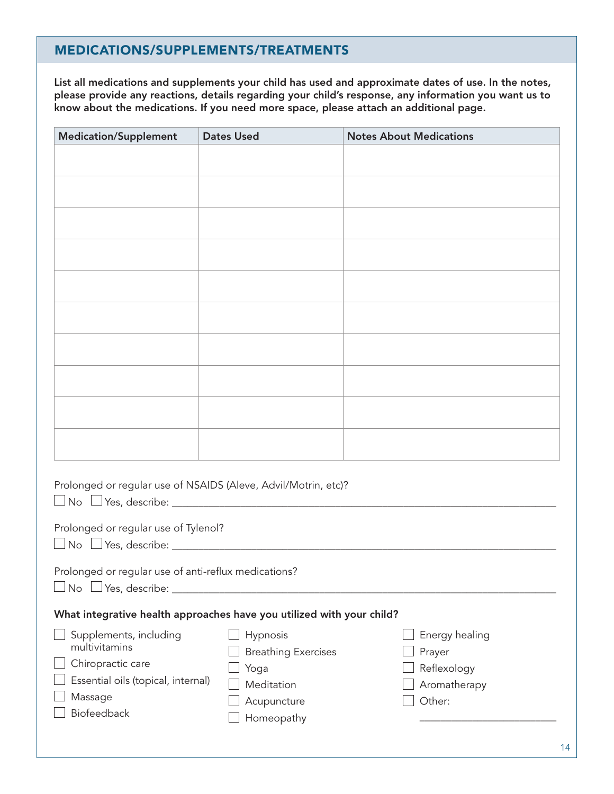#### MEDICATIONS/SUPPLEMENTS/TREATMENTS

List all medications and supplements your child has used and approximate dates of use. In the notes, please provide any reactions, details regarding your child's response, any information you want us to know about the medications. If you need more space, please attach an additional page.

| <b>Medication/Supplement</b>                                          | <b>Dates Used</b>                              | <b>Notes About Medications</b>          |  |  |  |
|-----------------------------------------------------------------------|------------------------------------------------|-----------------------------------------|--|--|--|
|                                                                       |                                                |                                         |  |  |  |
|                                                                       |                                                |                                         |  |  |  |
|                                                                       |                                                |                                         |  |  |  |
|                                                                       |                                                |                                         |  |  |  |
|                                                                       |                                                |                                         |  |  |  |
|                                                                       |                                                |                                         |  |  |  |
|                                                                       |                                                |                                         |  |  |  |
|                                                                       |                                                |                                         |  |  |  |
|                                                                       |                                                |                                         |  |  |  |
|                                                                       |                                                |                                         |  |  |  |
|                                                                       |                                                |                                         |  |  |  |
|                                                                       |                                                |                                         |  |  |  |
|                                                                       |                                                |                                         |  |  |  |
|                                                                       |                                                |                                         |  |  |  |
|                                                                       |                                                |                                         |  |  |  |
| Prolonged or regular use of NSAIDS (Aleve, Advil/Motrin, etc)?        |                                                |                                         |  |  |  |
| Prolonged or regular use of Tylenol?                                  |                                                |                                         |  |  |  |
|                                                                       |                                                |                                         |  |  |  |
| Prolonged or regular use of anti-reflux medications?                  |                                                |                                         |  |  |  |
| What integrative health approaches have you utilized with your child? |                                                |                                         |  |  |  |
| Supplements, including<br>multivitamins<br>Chiropractic care          | Hypnosis<br><b>Breathing Exercises</b><br>Yoga | Energy healing<br>Prayer<br>Reflexology |  |  |  |
| Essential oils (topical, internal)                                    | Meditation                                     | Aromatherapy                            |  |  |  |
| Massage<br>Biofeedback                                                | Acupuncture                                    | Other:                                  |  |  |  |
|                                                                       | Homeopathy                                     |                                         |  |  |  |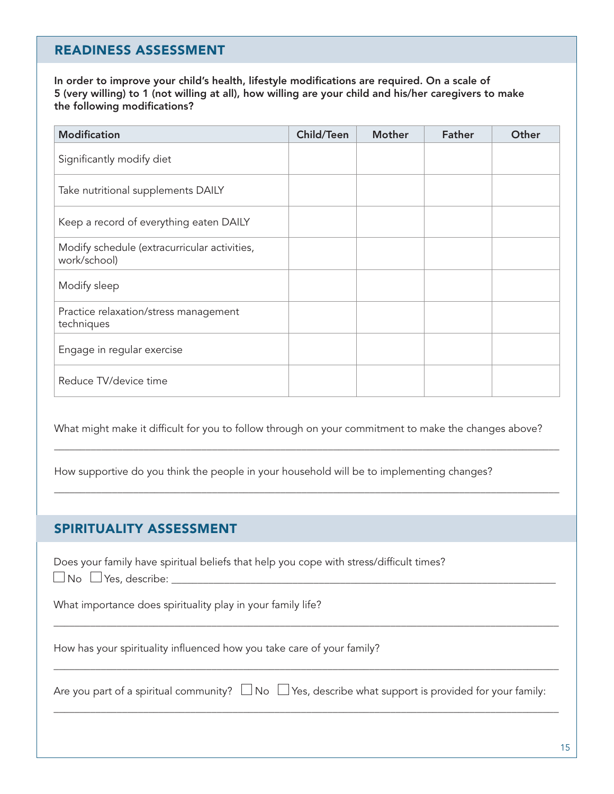#### READINESS ASSESSMENT

In order to improve your child's health, lifestyle modifications are required. On a scale of 5 (very willing) to 1 (not willing at all), how willing are your child and his/her caregivers to make the following modifications?

| <b>Modification</b>                                          | <b>Child/Teen</b> | <b>Mother</b> | <b>Father</b> | Other |
|--------------------------------------------------------------|-------------------|---------------|---------------|-------|
| Significantly modify diet                                    |                   |               |               |       |
| Take nutritional supplements DAILY                           |                   |               |               |       |
| Keep a record of everything eaten DAILY                      |                   |               |               |       |
| Modify schedule (extracurricular activities,<br>work/school) |                   |               |               |       |
| Modify sleep                                                 |                   |               |               |       |
| Practice relaxation/stress management<br>techniques          |                   |               |               |       |
| Engage in regular exercise                                   |                   |               |               |       |
| Reduce TV/device time                                        |                   |               |               |       |

What might make it difficult for you to follow through on your commitment to make the changes above?

 $\mathcal{L}_\mathcal{L} = \mathcal{L}_\mathcal{L} = \mathcal{L}_\mathcal{L} = \mathcal{L}_\mathcal{L} = \mathcal{L}_\mathcal{L} = \mathcal{L}_\mathcal{L} = \mathcal{L}_\mathcal{L} = \mathcal{L}_\mathcal{L} = \mathcal{L}_\mathcal{L} = \mathcal{L}_\mathcal{L} = \mathcal{L}_\mathcal{L} = \mathcal{L}_\mathcal{L} = \mathcal{L}_\mathcal{L} = \mathcal{L}_\mathcal{L} = \mathcal{L}_\mathcal{L} = \mathcal{L}_\mathcal{L} = \mathcal{L}_\mathcal{L}$ 

 $\mathcal{L}_\mathcal{L} = \mathcal{L}_\mathcal{L} = \mathcal{L}_\mathcal{L} = \mathcal{L}_\mathcal{L} = \mathcal{L}_\mathcal{L} = \mathcal{L}_\mathcal{L} = \mathcal{L}_\mathcal{L} = \mathcal{L}_\mathcal{L} = \mathcal{L}_\mathcal{L} = \mathcal{L}_\mathcal{L} = \mathcal{L}_\mathcal{L} = \mathcal{L}_\mathcal{L} = \mathcal{L}_\mathcal{L} = \mathcal{L}_\mathcal{L} = \mathcal{L}_\mathcal{L} = \mathcal{L}_\mathcal{L} = \mathcal{L}_\mathcal{L}$ 

How supportive do you think the people in your household will be to implementing changes?

#### SPIRITUALITY ASSESSMENT

Does your family have spiritual beliefs that help you cope with stress/difficult times?

No Yes, describe: \_\_\_\_\_\_\_\_\_\_\_\_\_\_\_\_\_\_\_\_\_\_\_\_\_\_\_\_\_\_\_\_\_\_\_\_\_\_\_\_\_\_\_\_\_\_\_\_\_\_\_\_\_\_\_\_\_\_\_\_\_\_\_\_\_\_\_\_\_\_\_\_\_

What importance does spirituality play in your family life?

How has your spirituality influenced how you take care of your family?

|  | Are you part of a spiritual community? $\Box$ No $\Box$ Yes, describe what support is provided for your family: |  |  |  |
|--|-----------------------------------------------------------------------------------------------------------------|--|--|--|
|--|-----------------------------------------------------------------------------------------------------------------|--|--|--|

\_\_\_\_\_\_\_\_\_\_\_\_\_\_\_\_\_\_\_\_\_\_\_\_\_\_\_\_\_\_\_\_\_\_\_\_\_\_\_\_\_\_\_\_\_\_\_\_\_\_\_\_\_\_\_\_\_\_\_\_\_\_\_\_\_\_\_\_\_\_\_\_\_\_\_\_\_\_\_\_\_\_\_\_\_\_\_\_\_\_\_\_\_\_\_\_

\_\_\_\_\_\_\_\_\_\_\_\_\_\_\_\_\_\_\_\_\_\_\_\_\_\_\_\_\_\_\_\_\_\_\_\_\_\_\_\_\_\_\_\_\_\_\_\_\_\_\_\_\_\_\_\_\_\_\_\_\_\_\_\_\_\_\_\_\_\_\_\_\_\_\_\_\_\_\_\_\_\_\_\_\_\_\_\_\_\_\_\_\_\_\_\_

\_\_\_\_\_\_\_\_\_\_\_\_\_\_\_\_\_\_\_\_\_\_\_\_\_\_\_\_\_\_\_\_\_\_\_\_\_\_\_\_\_\_\_\_\_\_\_\_\_\_\_\_\_\_\_\_\_\_\_\_\_\_\_\_\_\_\_\_\_\_\_\_\_\_\_\_\_\_\_\_\_\_\_\_\_\_\_\_\_\_\_\_\_\_\_\_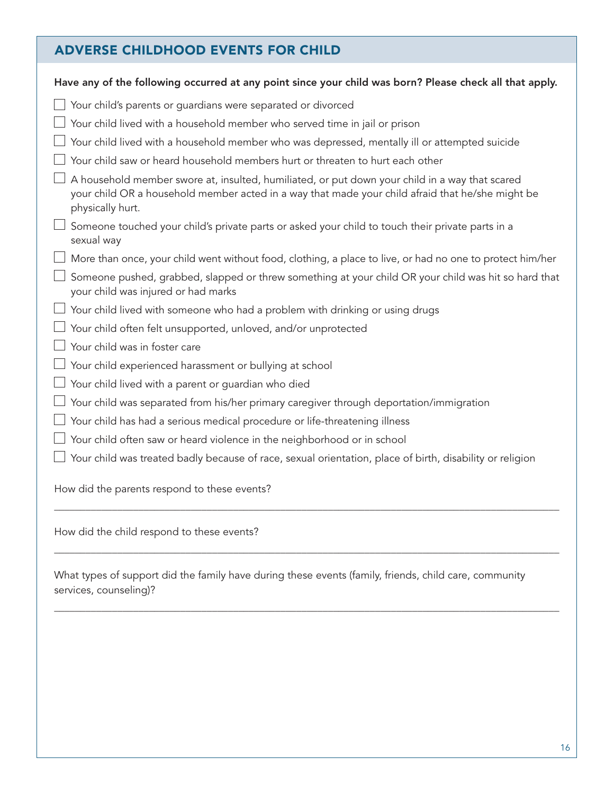## ADVERSE CHILDHOOD EVENTS FOR CHILD

| Have any of the following occurred at any point since your child was born? Please check all that apply.                                                                                                                |
|------------------------------------------------------------------------------------------------------------------------------------------------------------------------------------------------------------------------|
| Your child's parents or guardians were separated or divorced                                                                                                                                                           |
| Your child lived with a household member who served time in jail or prison                                                                                                                                             |
| Your child lived with a household member who was depressed, mentally ill or attempted suicide                                                                                                                          |
| Your child saw or heard household members hurt or threaten to hurt each other                                                                                                                                          |
| A household member swore at, insulted, humiliated, or put down your child in a way that scared<br>your child OR a household member acted in a way that made your child afraid that he/she might be<br>physically hurt. |
| Someone touched your child's private parts or asked your child to touch their private parts in a<br>sexual way                                                                                                         |
| More than once, your child went without food, clothing, a place to live, or had no one to protect him/her                                                                                                              |
| Someone pushed, grabbed, slapped or threw something at your child OR your child was hit so hard that<br>your child was injured or had marks                                                                            |
| Your child lived with someone who had a problem with drinking or using drugs                                                                                                                                           |
| Your child often felt unsupported, unloved, and/or unprotected                                                                                                                                                         |
| Your child was in foster care                                                                                                                                                                                          |
| Your child experienced harassment or bullying at school                                                                                                                                                                |
| Your child lived with a parent or guardian who died                                                                                                                                                                    |
| Your child was separated from his/her primary caregiver through deportation/immigration                                                                                                                                |
| Your child has had a serious medical procedure or life-threatening illness                                                                                                                                             |
| Your child often saw or heard violence in the neighborhood or in school                                                                                                                                                |
| Your child was treated badly because of race, sexual orientation, place of birth, disability or religion                                                                                                               |
| How did the parents respond to these events?                                                                                                                                                                           |

How did the child respond to these events?

What types of support did the family have during these events (family, friends, child care, community services, counseling)?

 $\mathcal{L}_\mathcal{L} = \mathcal{L}_\mathcal{L} = \mathcal{L}_\mathcal{L} = \mathcal{L}_\mathcal{L} = \mathcal{L}_\mathcal{L} = \mathcal{L}_\mathcal{L} = \mathcal{L}_\mathcal{L} = \mathcal{L}_\mathcal{L} = \mathcal{L}_\mathcal{L} = \mathcal{L}_\mathcal{L} = \mathcal{L}_\mathcal{L} = \mathcal{L}_\mathcal{L} = \mathcal{L}_\mathcal{L} = \mathcal{L}_\mathcal{L} = \mathcal{L}_\mathcal{L} = \mathcal{L}_\mathcal{L} = \mathcal{L}_\mathcal{L}$ 

 $\mathcal{L}_\mathcal{L} = \mathcal{L}_\mathcal{L} = \mathcal{L}_\mathcal{L} = \mathcal{L}_\mathcal{L} = \mathcal{L}_\mathcal{L} = \mathcal{L}_\mathcal{L} = \mathcal{L}_\mathcal{L} = \mathcal{L}_\mathcal{L} = \mathcal{L}_\mathcal{L} = \mathcal{L}_\mathcal{L} = \mathcal{L}_\mathcal{L} = \mathcal{L}_\mathcal{L} = \mathcal{L}_\mathcal{L} = \mathcal{L}_\mathcal{L} = \mathcal{L}_\mathcal{L} = \mathcal{L}_\mathcal{L} = \mathcal{L}_\mathcal{L}$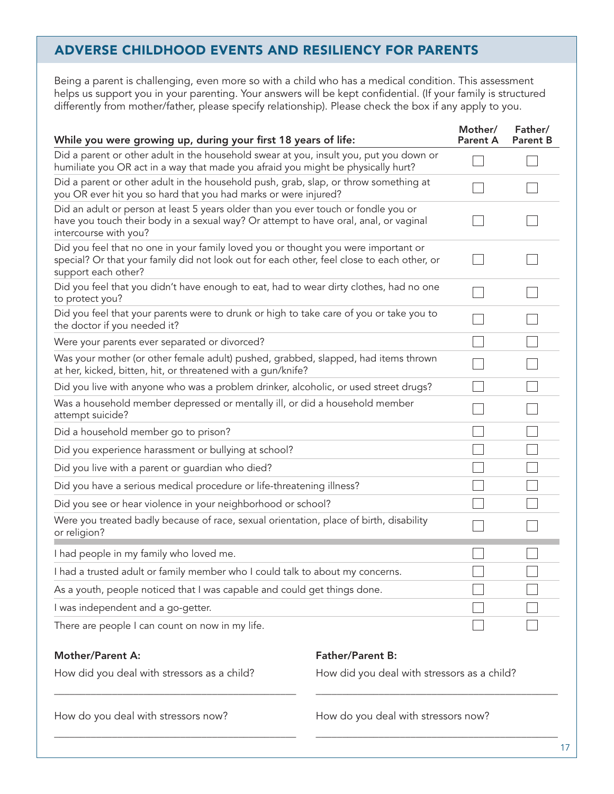#### ADVERSE CHILDHOOD EVENTS AND RESILIENCY FOR PARENTS

Being a parent is challenging, even more so with a child who has a medical condition. This assessment helps us support you in your parenting. Your answers will be kept confidential. (If your family is structured differently from mother/father, please specify relationship). Please check the box if any apply to you.

| While you were growing up, during your first 18 years of life:                                                                                                                                          | Mother/<br><b>Parent A</b> | Father/<br><b>Parent B</b> |
|---------------------------------------------------------------------------------------------------------------------------------------------------------------------------------------------------------|----------------------------|----------------------------|
| Did a parent or other adult in the household swear at you, insult you, put you down or<br>humiliate you OR act in a way that made you afraid you might be physically hurt?                              |                            |                            |
| Did a parent or other adult in the household push, grab, slap, or throw something at<br>you OR ever hit you so hard that you had marks or were injured?                                                 |                            |                            |
| Did an adult or person at least 5 years older than you ever touch or fondle you or<br>have you touch their body in a sexual way? Or attempt to have oral, anal, or vaginal<br>intercourse with you?     |                            |                            |
| Did you feel that no one in your family loved you or thought you were important or<br>special? Or that your family did not look out for each other, feel close to each other, or<br>support each other? |                            |                            |
| Did you feel that you didn't have enough to eat, had to wear dirty clothes, had no one<br>to protect you?                                                                                               |                            |                            |
| Did you feel that your parents were to drunk or high to take care of you or take you to<br>the doctor if you needed it?                                                                                 |                            |                            |
| Were your parents ever separated or divorced?                                                                                                                                                           |                            |                            |
| Was your mother (or other female adult) pushed, grabbed, slapped, had items thrown<br>at her, kicked, bitten, hit, or threatened with a gun/knife?                                                      |                            |                            |
| Did you live with anyone who was a problem drinker, alcoholic, or used street drugs?                                                                                                                    |                            |                            |
| Was a household member depressed or mentally ill, or did a household member<br>attempt suicide?                                                                                                         |                            |                            |
| Did a household member go to prison?                                                                                                                                                                    |                            |                            |
| Did you experience harassment or bullying at school?                                                                                                                                                    |                            |                            |
| Did you live with a parent or guardian who died?                                                                                                                                                        |                            |                            |
| Did you have a serious medical procedure or life-threatening illness?                                                                                                                                   |                            |                            |
| Did you see or hear violence in your neighborhood or school?                                                                                                                                            |                            |                            |
| Were you treated badly because of race, sexual orientation, place of birth, disability<br>or religion?                                                                                                  |                            |                            |
| I had people in my family who loved me.                                                                                                                                                                 |                            |                            |
| I had a trusted adult or family member who I could talk to about my concerns.                                                                                                                           |                            |                            |
| As a youth, people noticed that I was capable and could get things done.                                                                                                                                |                            |                            |
| I was independent and a go-getter.                                                                                                                                                                      |                            |                            |
| There are people I can count on now in my life.                                                                                                                                                         |                            |                            |

#### Mother/Parent A:

Father/Parent B:

How did you deal with stressors as a child?

\_\_\_\_\_\_\_\_\_\_\_\_\_\_\_\_\_\_\_\_\_\_\_\_\_\_\_\_\_\_\_\_\_\_\_\_\_\_\_\_\_\_\_\_\_\_

\_\_\_\_\_\_\_\_\_\_\_\_\_\_\_\_\_\_\_\_\_\_\_\_\_\_\_\_\_\_\_\_\_\_\_\_\_\_\_\_\_\_\_\_\_\_

How did you deal with stressors as a child?

How do you deal with stressors now?

How do you deal with stressors now?

\_\_\_\_\_\_\_\_\_\_\_\_\_\_\_\_\_\_\_\_\_\_\_\_\_\_\_\_\_\_\_\_\_\_\_\_\_\_\_\_\_\_\_\_\_\_

\_\_\_\_\_\_\_\_\_\_\_\_\_\_\_\_\_\_\_\_\_\_\_\_\_\_\_\_\_\_\_\_\_\_\_\_\_\_\_\_\_\_\_\_\_\_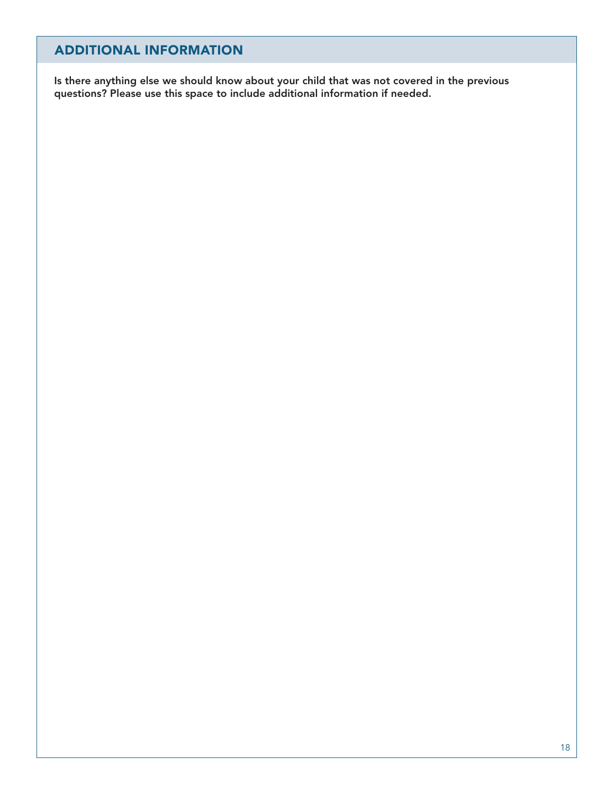#### ADDITIONAL INFORMATION

Is there anything else we should know about your child that was not covered in the previous questions? Please use this space to include additional information if needed.